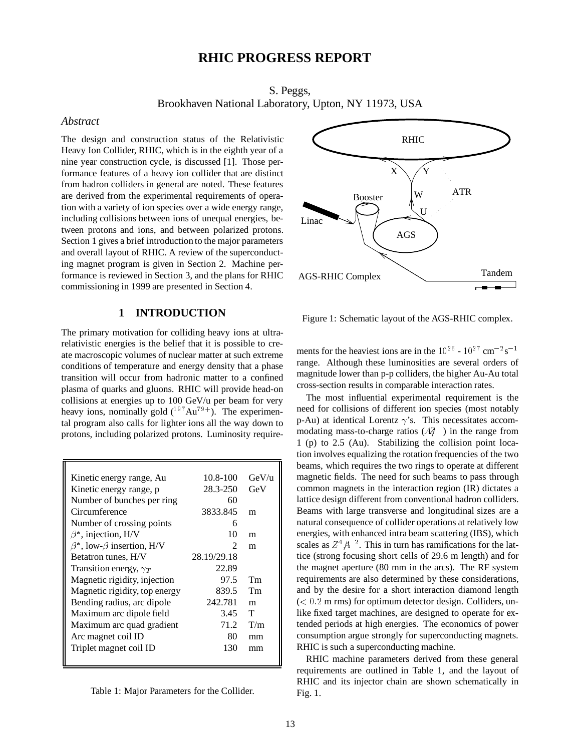# **RHIC PROGRESS REPORT**

S. Peggs,

Brookhaven National Laboratory, Upton, NY 11973, USA

#### *Abstract*

The design and construction status of the Relativistic Heavy Ion Collider, RHIC, which is in the eighth year of a nine year construction cycle, is discussed [1]. Those performance features of a heavy ion collider that are distinct from hadron colliders in general are noted. These features are derived from the experimental requirements of operation with a variety of ion species over a wide energy range, including collisions between ions of unequal energies, between protons and ions, and between polarized protons. Section 1 gives a brief introduction to the major parameters and overall layout of RHIC. A review of the superconducting magnet program is given in Section 2. Machine performance is reviewed in Section 3, and the plans for RHIC commissioning in 1999 are presented in Section 4.

# **1 INTRODUCTION**

The primary motivation for colliding heavy ions at ultrarelativistic energies is the belief that it is possible to create macroscopic volumes of nuclear matter at such extreme conditions of temperature and energy density that a phase transition will occur from hadronic matter to a confined plasma of quarks and gluons. RHIC will provide head-on collisions at energies up to 100 GeV/u per beam for very heavy ions, nominally gold  $(^{197}Au^{79+})$ . The experimental program also calls for lighter ions all the way down to protons, including polarized protons. Luminosity require-

| Kinetic energy range, Au                | 10.8-100                    | GeV/u |
|-----------------------------------------|-----------------------------|-------|
| Kinetic energy range, p                 | 28.3-250                    | GeV   |
| Number of bunches per ring              | 60                          |       |
| Circumference                           | 3833.845                    | m     |
| Number of crossing points               | 6                           |       |
| $\beta^*$ , injection, H/V              | 10                          | m     |
| $\beta^*$ , low- $\beta$ insertion, H/V | $\mathcal{D}_{\mathcal{L}}$ | m     |
| Betatron tunes, H/V                     | 28.19/29.18                 |       |
| Transition energy, $\gamma_T$           | 22.89                       |       |
| Magnetic rigidity, injection            | 97.5                        | Tm    |
| Magnetic rigidity, top energy           | 839.5                       | Tm    |
| Bending radius, arc dipole              | 242.781                     | m     |
| Maximum arc dipole field                | 3.45                        | T     |
| Maximum arc quad gradient               | 71.2                        | T/m   |
| Arc magnet coil ID                      | 80                          | mm    |
| Triplet magnet coil ID                  | 130                         | mm    |
|                                         |                             |       |

| Table 1: Major Parameters for the Collider. |  |  |
|---------------------------------------------|--|--|
|---------------------------------------------|--|--|



Figure 1: Schematic layout of the AGS-RHIC complex.

ments for the heaviest ions are in the  $10^{26}$  -  $10^{27}$  cm<sup>-2</sup>s<sup>-1</sup> range. Although these luminosities are several orders of magnitude lower than p-p colliders, the higher Au-Au total cross-section results in comparable interaction rates.

The most influential experimental requirement is the need for collisions of different ion species (most notably p-Au) at identical Lorentz  $\gamma$ 's. This necessitates accommodating mass-to-charge ratios  $(AZ)$  ) in the range from 1 (p) to 2.5 (Au). Stabilizing the collision point location involves equalizing the rotation frequencies of the two beams, which requires the two rings to operate at different magnetic fields. The need for such beams to pass through common magnets in the interaction region (IR) dictates a lattice design different from conventional hadron colliders. Beams with large transverse and longitudinal sizes are a natural consequence of collider operations at relatively low energies, with enhanced intra beam scattering (IBS), which scales as  $Z^4/4^2$ . This in turn has ramifications for the lattice (strong focusing short cells of 29.6 m length) and for the magnet aperture (80 mm in the arcs). The RF system requirements are also determined by these considerations, and by the desire for a short interaction diamond length  $(< 0.2$  m rms) for optimum detector design. Colliders, unlike fixed target machines, are designed to operate for extended periods at high energies. The economics of power consumption argue strongly for superconducting magnets. RHIC is such a superconducting machine.

RHIC machine parameters derived from these general requirements are outlined in Table 1, and the layout of RHIC and its injector chain are shown schematically in Fig. 1.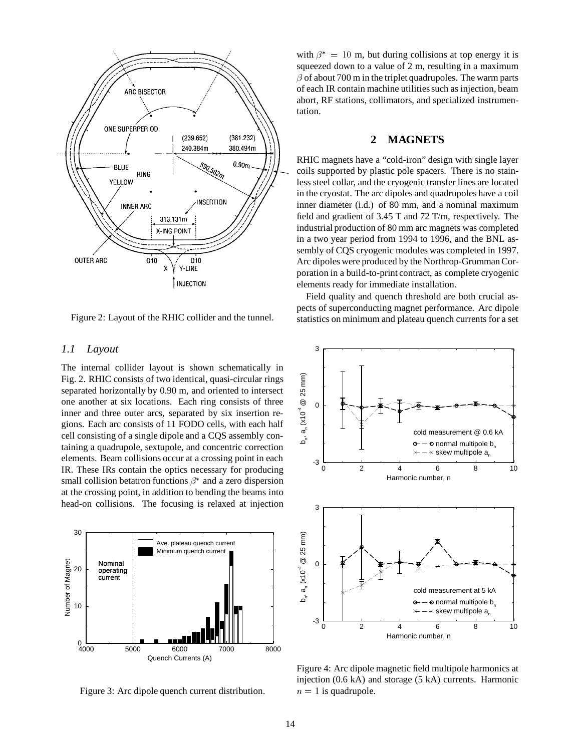

Figure 2: Layout of the RHIC collider and the tunnel.

### *1.1 Layout*

The internal collider layout is shown schematically in Fig. 2. RHIC consists of two identical, quasi-circular rings separated horizontally by 0.90 m, and oriented to intersect one another at six locations. Each ring consists of three inner and three outer arcs, separated by six insertion regions. Each arc consists of 11 FODO cells, with each half cell consisting of a single dipole and a CQS assembly containing a quadrupole, sextupole, and concentric correction elements. Beam collisions occur at a crossing point in each IR. These IRs contain the optics necessary for producing small collision betatron functions  $\beta^*$  and a zero dispersion at the crossing point, in addition to bending the beams into head-on collisions. The focusing is relaxed at injection



Figure 3: Arc dipole quench current distribution.

with  $\beta^* = 10$  m, but during collisions at top energy it is squeezed down to a value of 2 m, resulting in a maximum  $\beta$  of about 700 m in the triplet quadrupoles. The warm parts of each IR contain machine utilities such as injection, beam abort, RF stations, collimators, and specialized instrumentation.

## **2 MAGNETS**

RHIC magnets have a "cold-iron" design with single layer coils supported by plastic pole spacers. There is no stainless steel collar, and the cryogenic transfer lines are located in the cryostat. The arc dipoles and quadrupoles have a coil inner diameter (i.d.) of 80 mm, and a nominal maximum field and gradient of 3.45 T and 72 T/m, respectively. The industrial production of 80 mm arc magnets was completed in a two year period from 1994 to 1996, and the BNL assembly of CQS cryogenic modules was completed in 1997. Arc dipoles were produced by the Northrop-Grumman Corporation in a build-to-print contract, as complete cryogenic elements ready for immediate installation.

Field quality and quench threshold are both crucial aspects of superconducting magnet performance. Arc dipole statistics on minimum and plateau quench currents for a set



Figure 4: Arc dipole magnetic field multipole harmonics at injection (0.6 kA) and storage (5 kA) currents. Harmonic  $n = 1$  is quadrupole.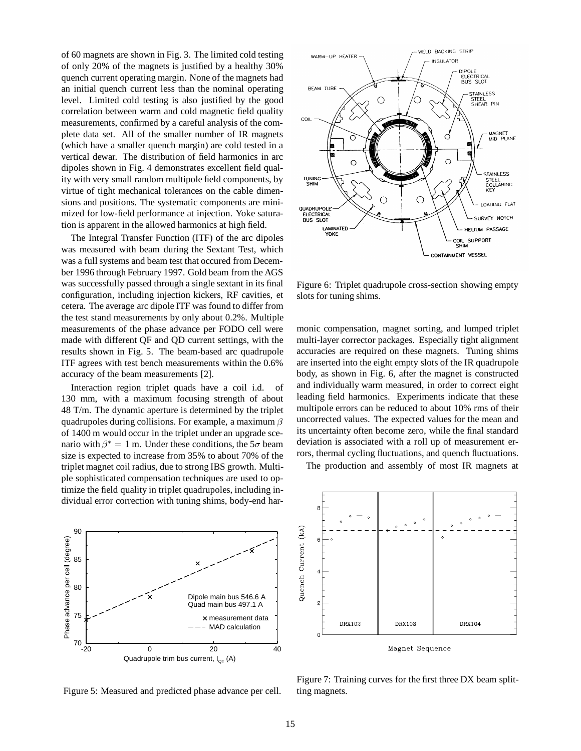of 60 magnets are shown in Fig. 3. The limited cold testing of only 20% of the magnets is justified by a healthy 30% quench current operating margin. None of the magnets had an initial quench current less than the nominal operating level. Limited cold testing is also justified by the good correlation between warm and cold magnetic field quality measurements, confirmed by a careful analysis of the complete data set. All of the smaller number of IR magnets (which have a smaller quench margin) are cold tested in a vertical dewar. The distribution of field harmonics in arc dipoles shown in Fig. 4 demonstrates excellent field quality with very small random multipole field components, by virtue of tight mechanical tolerances on the cable dimensions and positions. The systematic components are minimized for low-field performance at injection. Yoke saturation is apparent in the allowed harmonics at high field.

The Integral Transfer Function (ITF) of the arc dipoles was measured with beam during the Sextant Test, which was a full systems and beam test that occured from December 1996 through February 1997. Gold beam from the AGS was successfully passed through a single sextant in its final configuration, including injection kickers, RF cavities, et cetera. The average arc dipole ITF was found to differ from the test stand measurements by only about 0.2%. Multiple measurements of the phase advance per FODO cell were made with different QF and QD current settings, with the results shown in Fig. 5. The beam-based arc quadrupole ITF agrees with test bench measurements within the 0.6% accuracy of the beam measurements [2].

Interaction region triplet quads have a coil i.d. of 130 mm, with a maximum focusing strength of about 48 T/m. The dynamic aperture is determined by the triplet quadrupoles during collisions. For example, a maximum  $\beta$ of 1400 m would occur in the triplet under an upgrade scenario with  $\beta^* = 1$  m. Under these conditions, the  $5\sigma$  beam size is expected to increase from 35% to about 70% of the triplet magnet coil radius, due to strong IBS growth. Multiple sophisticated compensation techniques are used to optimize the field quality in triplet quadrupoles, including individual error correction with tuning shims, body-end har-



Figure 5: Measured and predicted phase advance per cell.



Figure 6: Triplet quadrupole cross-section showing empty slots for tuning shims.

monic compensation, magnet sorting, and lumped triplet multi-layer corrector packages. Especially tight alignment accuracies are required on these magnets. Tuning shims are inserted into the eight empty slots of the IR quadrupole body, as shown in Fig. 6, after the magnet is constructed and individually warm measured, in order to correct eight leading field harmonics. Experiments indicate that these multipole errors can be reduced to about 10% rms of their uncorrected values. The expected values for the mean and its uncertainty often become zero, while the final standard deviation is associated with a roll up of measurement errors, thermal cycling fluctuations, and quench fluctuations.

The production and assembly of most IR magnets at



Figure 7: Training curves for the first three DX beam splitting magnets.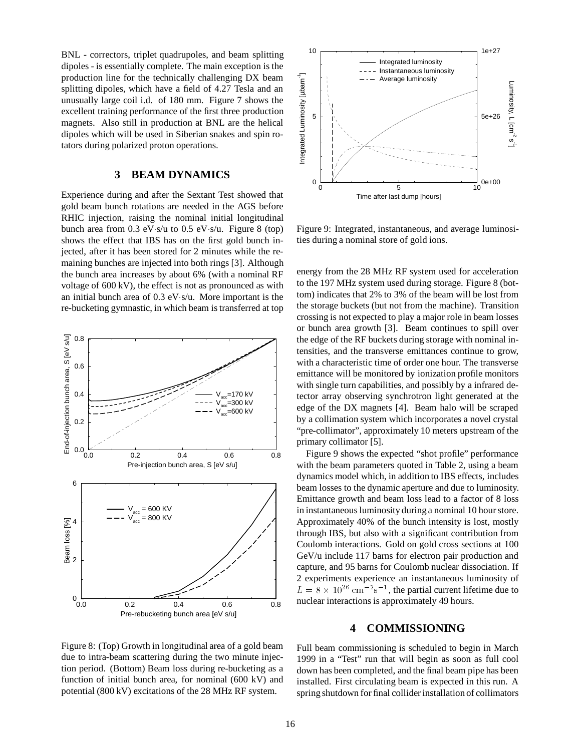BNL - correctors, triplet quadrupoles, and beam splitting dipoles - is essentially complete. The main exception is the production line for the technically challenging DX beam splitting dipoles, which have a field of 4.27 Tesla and an unusually large coil i.d. of 180 mm. Figure 7 shows the excellent training performance of the first three production magnets. Also still in production at BNL are the helical dipoles which will be used in Siberian snakes and spin rotators during polarized proton operations.

## **3 BEAM DYNAMICS**

Experience during and after the Sextant Test showed that gold beam bunch rotations are needed in the AGS before RHIC injection, raising the nominal initial longitudinal bunch area from  $0.3$  eV s/u to  $0.5$  eV s/u. Figure 8 (top) shows the effect that IBS has on the first gold bunch injected, after it has been stored for 2 minutes while the remaining bunches are injected into both rings [3]. Although the bunch area increases by about 6% (with a nominal RF voltage of 600 kV), the effect is not as pronounced as with an initial bunch area of  $0.3$  eV s/u. More important is the re-bucketing gymnastic, in which beam is transferred at top



Figure 8: (Top) Growth in longitudinal area of a gold beam due to intra-beam scattering during the two minute injection period. (Bottom) Beam loss during re-bucketing as a function of initial bunch area, for nominal (600 kV) and potential (800 kV) excitations of the 28 MHz RF system.



Figure 9: Integrated, instantaneous, and average luminosities during a nominal store of gold ions.

energy from the 28 MHz RF system used for acceleration to the 197 MHz system used during storage. Figure 8 (bottom) indicates that 2% to 3% of the beam will be lost from the storage buckets (but not from the machine). Transition crossing is not expected to play a major role in beam losses or bunch area growth [3]. Beam continues to spill over the edge of the RF buckets during storage with nominal intensities, and the transverse emittances continue to grow, with a characteristic time of order one hour. The transverse emittance will be monitored by ionization profile monitors with single turn capabilities, and possibly by a infrared detector array observing synchrotron light generated at the edge of the DX magnets [4]. Beam halo will be scraped by a collimation system which incorporates a novel crystal "pre-collimator", approximately 10 meters upstream of the primary collimator [5].

Figure 9 shows the expected "shot profile" performance with the beam parameters quoted in Table 2, using a beam dynamics model which, in addition to IBS effects, includes beam losses to the dynamic aperture and due to luminosity. Emittance growth and beam loss lead to a factor of 8 loss in instantaneous luminosity during a nominal 10 hour store. Approximately 40% of the bunch intensity is lost, mostly through IBS, but also with a significant contribution from Coulomb interactions. Gold on gold cross sections at 100 GeV/u include 117 barns for electron pair production and capture, and 95 barns for Coulomb nuclear dissociation. If 2 experiments experience an instantaneous luminosity of  $L = 8 \times 10^{26} \text{ cm}^{-2} \text{s}^{-1}$ , the partial current lifetime due to nuclear interactions is approximately 49 hours.

#### **4 COMMISSIONING**

Full beam commissioning is scheduled to begin in March 1999 in a "Test" run that will begin as soon as full cool down has been completed, and the final beam pipe has been installed. First circulating beam is expected in this run. A spring shutdown for final collider installation of collimators